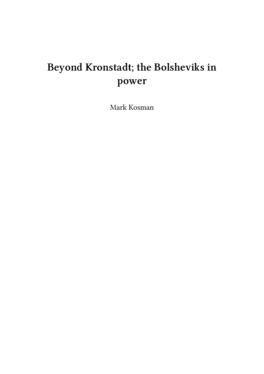# **Beyond Kronstadt; the Bolsheviks in power**

Mark Kosman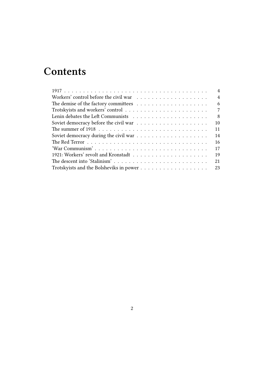# **Contents**

|                                                                                                   | 4              |
|---------------------------------------------------------------------------------------------------|----------------|
|                                                                                                   | $\overline{4}$ |
|                                                                                                   | 6              |
|                                                                                                   | 7              |
|                                                                                                   | 8              |
|                                                                                                   | 10             |
|                                                                                                   | 11             |
|                                                                                                   | 14             |
|                                                                                                   | 16             |
| 'War Communism'                                                                                   | 17             |
|                                                                                                   | 19             |
| The descent into 'Stalinism'                                                                      | 21             |
| Trotsky<br>ists and the Bolsheviks in power<br>$\ldots \ldots \ldots \ldots \ldots \ldots \ldots$ | 23             |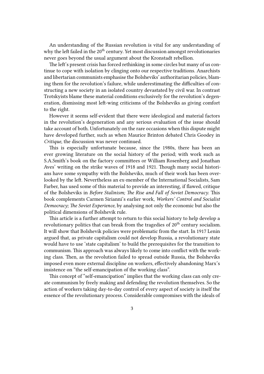An understanding of the Russian revolution is vital for any understanding of why the left failed in the  $20<sup>th</sup>$  century. Yet most discussion amongst revolutionaries never goes beyond the usual argument about the Kronstadt rebellion.

The left's present crisis has forced rethinking in some circles but many of us continue to cope with isolation by clinging onto our respective traditions. Anarchists and libertarian communists emphasise the Bolsheviks' authoritarian policies, blaming them for the revolution's failure, while underestimating the difficulties of constructing a new society in an isolated country devastated by civil war. In contrast Trotskyists blame these material conditions exclusively for the revolution's degeneration, dismissing most left-wing criticisms of the Bolsheviks as giving comfort to the right.

However it seems self-evident that there were ideological and material factors in the revolution's degeneration and any serious evaluation of the issue should take account of both. Unfortunately on the rare occasions when this dispute might have developed further, such as when Maurice Brinton debated Chris Goodey in *Critique*, the discussion was never continued.

This is especially unfortunate because, since the 1980s, there has been an ever growing literature on the social history of the period; with work such as S.A.Smith's book on the factory committees or William Rosenberg and Jonathan Aves' writing on the strike waves of 1918 and 1921. Though many social historians have some sympathy with the Bolsheviks, much of their work has been overlooked by the left. Nevertheless an ex-member of the International Socialists, Sam Farber, has used some of this material to provide an interesting, if flawed, critique of the Bolsheviks in *Before Stalinism; The Rise and Fall of Soviet Democracy*. This book complements Carmen Sirianni's earlier work, *Workers' Control and Socialist Democracy; The Soviet Experience*, by analysing not only the economic but also the political dimensions of Bolshevik rule.

This article is a further attempt to return to this social history to help develop a revolutionary politics that can break from the tragedies of  $20<sup>th</sup>$  century socialism. It will show that Bolshevik policies were problematic from the start. In 1917 Lenin argued that, as private capitalism could not develop Russia, a revolutionary state would have to use 'state capitalism' to build the prerequisites for the transition to communism. This approach was always likely to come into conflict with the working class. Then, as the revolution failed to spread outside Russia, the Bolsheviks imposed even more external discipline on workers, effectively abandoning Marx's insistence on "the self-emancipation of the working class".

This concept of "self-emancipation" implies that the working class can only create communism by freely making and defending the revolution themselves. So the action of workers taking day-to-day control of every aspect of society is itself the essence of the revolutionary process. Considerable compromises with the ideals of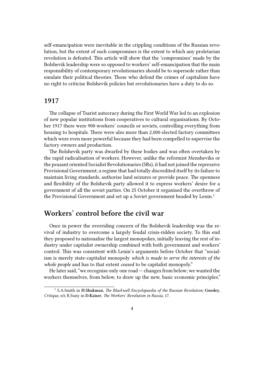self-emancipation were inevitable in the crippling conditions of the Russian revolution, but the extent of such compromises is the extent to which any proletarian revolution is defeated. This article will show that the 'compromises' made by the Bolshevik leadership were so opposed to workers' self-emancipation that the main responsibility of contemporary revolutionaries should be to supersede rather than emulate their political theories. Those who defend the crimes of capitalism have no right to criticise Bolshevik policies but revolutionaries have a duty to do so.

#### <span id="page-3-0"></span>**1917**

The collapse of Tsarist autocracy during the First World War led to an explosion of new popular institutions from cooperatives to cultural organisations. By October 1917 there were 900 workers' councils or soviets, controlling everything from housing to hospitals. There were also more than 2,000 elected factory committees which were even more powerful because they had been compelled to supervise the factory owners and production.

The Bolshevik party was dwarfed by these bodies and was often overtaken by the rapid radicalisation of workers. However, unlike the reformist Mensheviks or the peasant oriented Socialist Revolutionaries (SRs), it had not joined the repressive Provisional Government; a regime that had totally discredited itself by its failure to maintain living standards, authorise land seizures or provide peace. The openness and flexibility of the Bolshevik party allowed it to express workers' desire for a government of all the soviet parties. On 25 October it organised the overthrow of the Provisional Government and set up a Soviet government headed by Lenin.<sup>1</sup>

#### <span id="page-3-1"></span>**Workers' control before the civil war**

Once in power the overriding concern of the Bolshevik leadership was the revival of industry to overcome a largely feudal crisis-ridden society. To this end they proposed to nationalise the largest monopolies, initially leaving the rest of industry under capitalist ownership combined with both government and workers' control. This was consistent with Lenin's arguments before October that "socialism is merely state-capitalist monopoly *which is made to serve the interests of the whole people* and has to that extent *ceased* to be capitalist monopoly."

He later said, "we recognise only one road — changes from below; we wanted the workers themselves, from below, to draw up the new, basic economic principles."

<sup>1</sup> S.A.Smith in **H.Shukman**, *The Blackwell Encyclopaedia of the Russian Revolution;* **Goodey**, *Critique*, n3**;** R.Suny in **D.Kaiser**, *The Workers' Revolution in Russia,* 17.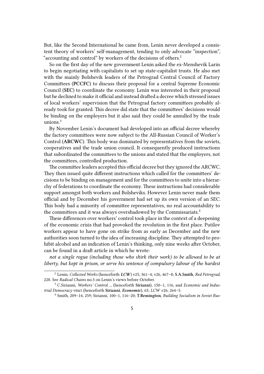But, like the Second International he came from, Lenin never developed a consistent theory of workers' self-management, tending to only advocate "inspection", "accounting and control" by workers of the decisions of others.<sup>2</sup>

So on the first day of the new government Lenin asked the ex-Menshevik Larin to begin negotiating with capitalists to set up state-capitalist trusts. He also met with the mainly Bolshevik leaders of the Petrograd Central Council of Factory Committees (**PCCFC**) to discuss their proposal for a central Supreme Economic Council (**SEC**) to coordinate the economy. Lenin was interested in their proposal but he declined to make it official and instead drafted a decree which stressed issues of local workers' supervision that the Petrograd factory committees probably already took for granted. This decree did state that the committees' decisions would be binding on the employers but it also said they could be annulled by the trade unions. $3$ 

By November Lenin's document had developed into an official decree whereby the factory committees were now subject to the All-Russian Council of Worker's Control (**ARCWC**). This body was dominated by representatives from the soviets, cooperatives and the trade union council. It consequently produced instructions that subordinated the committees to the unions and stated that the employers, not the committees, controlled production.

The committee leaders accepted this official decree but they ignored the ARCWC. They then issued quite different instructions which called for the committees' decisions to be binding on management and for the committees to unite into a hierarchy of federations to coordinate the economy. These instructions had considerable support amongst both workers and Bolsheviks. However Lenin never made them official and by December his government had set up its own version of an SEC. This body had a minority of committee representatives, no real accountability to the committees and it was always overshadowed by the Commissariats.<sup>4</sup>

These differences over workers' control took place in the context of a deepening of the economic crisis that had provoked the revolution in the first place. Putilov workers appear to have gone on strike from as early as December and the new authorities soon turned to the idea of increasing discipline. They attempted to prohibit alcohol and an indication of Lenin's thinking, only nine weeks after October, can be found in a draft article in which he wrote:

*not a single rogue (including those who shirk their work) to be allowed to be at liberty, but kept in prison, or serve his sentence of compulsory labour of the hardest*

<sup>2</sup> Lenin, *Collected Works* (henceforth *LCW*) v25, 361–4; v26, 467–8; **S.A.Smith**, *Red Petrograd*, 228. See *Radical Chains* no.3 on Lenin's views before October.

<sup>3</sup> C.Sirianni, *Workers' Control…,* (henceforth **Sirianni**), 150–1, 116, and *Economic and Industrial Democracy* v6n1 (henceforth **Sirianni**, *Economic*), 65; *LCW* v26, 264–5.

<sup>4</sup> Smith, 209–14, 259; Sirianni, 100–1, 116–20; **T.Remington**, *Building Socialism in Soviet Rus-*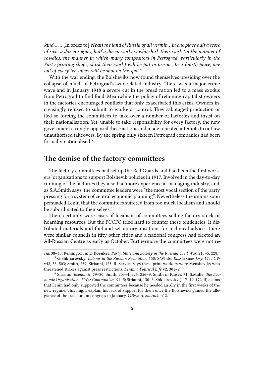*kind… …* [In order to] *clean the land of Russia of all vermin…In one place half a score of rich, a dozen rogues, half a dozen workers who shirk their work (in the manner of rowdies, the manner in which many compositors in Petrograd, particularly in the Party printing shops, shirk their work) will be put in prison…In a fourth place, one out of every ten idlers will be shot on the spot.*"

With the war ending, the Bolsheviks now found themselves presiding over the collapse of much of Petrograd's war related industry. There was a major crime wave and in January 1918 a severe cut in the bread ration led to a mass exodus from Petrograd to find food. Meanwhile the policy of retaining capitalist owners in the factories encouraged conflicts that only exacerbated this crisis. Owners increasingly refused to submit to workers' control. They sabotaged production or fled so forcing the committees to take over a number of factories and insist on their nationalisation. Yet, unable to take responsibility for every factory, the new government strongly opposed these actions and made repeated attempts to outlaw unauthorised takeovers. By the spring only sixteen Petrograd companies had been formally nationalised.<sup>5</sup>

# <span id="page-5-0"></span>**The demise of the factory committees**

The factory committees had set up the Red Guards and had been the first workers' organisations to support Bolshevik policies in 1917. Involved in the day-to-day running of the factories they also had more experience at managing industry, and, as S.A.Smith says, the committee leaders were "the most vocal section of the party pressing for a system of central economic planning". Nevertheless the unions soon persuaded Lenin that the committees suffered from too much localism and should be subordinated to themselves.<sup>6</sup>

There certainly were cases of localism, of committees selling factory stock or hoarding resources. But the PCCFC tried hard to counter these tendencies. It distributed materials and fuel and set up organisations for technical advice. There were similar councils in fifty other cities and a national congress had elected an All-Russian Centre as early as October. Furthermore the committees were not re-

*sia*, 38–45; Remington in **D.Koenker**, *Party, State and Society in the Russian Civil War*, 213–5, 228.

<sup>5</sup> **G.Shkliarevsky**, *Labour in the Russian Revolution*, 150*;* S.White, *Russia Goes Dry*, 17; *LCW* v42, 53, 503; Smith, 239; Sirianni, 123. R. Service says these print workers were Mensheviks who threatened strikes against press restrictions. *Lenin, a Political Life* v2, 301–2.

<sup>6</sup> Sirianni, *Economic,* 79–80; Smith, 203–4, 226, 256–9; Smith in Kaiser, 71; **S.Malle**, *The Economic Organisation of War Communism,* 94–5; Sirianni, 130–3. Shkliarevsky (117–19, 172–5) claims that Lenin had only supported the committees because he needed an ally in the first weeks of the new regime. This might explain his lack of support for them once the Bolsheviks gained the allegiance of the trade union congress in January. G.Swain, *Sbornik*, n12.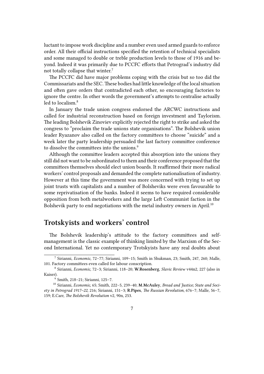luctant to impose work discipline and a number even used armed guards to enforce order. All their official instructions specified the retention of technical specialists and some managed to double or treble production levels to those of 1916 and beyond. Indeed it was primarily due to PCCFC efforts that Petrograd's industry did not totally collapse that winter.<sup>7</sup>

The PCCFC did have major problems coping with the crisis but so too did the Commissariats and the SEC.These bodies had little knowledge of the local situation and often gave orders that contradicted each other, so encouraging factories to ignore the centre. In other words the government's attempts to centralise actually led to localism.<sup>8</sup>

In January the trade union congress endorsed the ARCWC instructions and called for industrial reconstruction based on foreign investment and Taylorism. The leading Bolshevik Zinoviev explicitly rejected the right to strike and asked the congress to "proclaim the trade unions state organisations". The Bolshevik union leader Ryazanov also called on the factory committees to choose "suicide" and a week later the party leadership persuaded the last factory committee conference to dissolve the committees into the unions.<sup>9</sup>

Although the committee leaders accepted this absorption into the unions they still did not want to be subordinated to them and their conference proposed that the committees themselves should elect union boards. It reaffirmed their more radical workers' control proposals and demanded the complete nationalisation of industry. However at this time the government was more concerned with trying to set up joint trusts with capitalists and a number of Bolsheviks were even favourable to some reprivatisation of the banks. Indeed it seems to have required considerable opposition from both metalworkers and the large Left Communist faction in the Bolshevik party to end negotiations with the metal industry owners in April.<sup>10</sup>

# <span id="page-6-0"></span>**Trotskyists and workers' control**

The Bolshevik leadership's attitude to the factory committees and selfmanagement is the classic example of thinking limited by the Marxism of the Second International. Yet no contemporary Trotskyists have any real doubts about

<sup>7</sup> Sirianni, *Economic,* 72–77; Sirianni, 109–15; Smith in Shukman, 23; Smith, 247, 260; Malle, 101. Factory committees even called for labour conscription.

<sup>8</sup> Sirianni, *Economic,* 72–3; Sirianni, 118–20; **W.Rosenberg**, *Slavic Review* v44n2, 227 (also in Kaiser).

<sup>9</sup> Smith, 218–21; Sirianni, 125–7.

<sup>10</sup> Sirianni, *Economic,* 65; Smith, 222–5, 239–40; **M.McAuley**, *Bread and Justice; State and Society in Petrograd 1917–22*, 216; Sirianni, 151–3; **R.Pipes**, *The Russian Revolution*, 676–7; Malle, 56–7, 159; E.Carr, *The Bolshevik Revolution* v2, 90n, 253.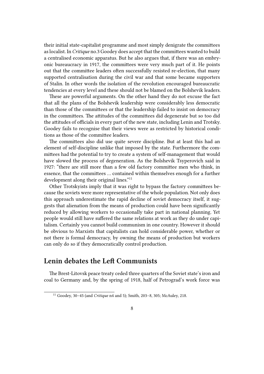their initial state-capitalist programme and most simply denigrate the committees as localist. In *Critique* no.3 Goodey does accept that the committees wanted to build a centralised economic apparatus. But he also argues that, if there was an embryonic bureaucracy in 1917, the committees were very much part of it. He points out that the committee leaders often successfully resisted re-election, that many supported centralisation during the civil war and that some became supporters of Stalin. In other words the isolation of the revolution encouraged bureaucratic tendencies at every level and these should not be blamed on the Bolshevik leaders.

These are powerful arguments. On the other hand they do not excuse the fact that all the plans of the Bolshevik leadership were considerably less democratic than those of the committees or that the leadership failed to insist on democracy in the committees. The attitudes of the committees did degenerate but so too did the attitudes of officials in every part of the new state, including Lenin and Trotsky. Goodey fails to recognise that their views were as restricted by historical conditions as those of the committee leaders.

The committees also did use quite severe discipline. But at least this had an element of self-discipline unlike that imposed by the state. Furthermore the committees had the potential to try to create a system of self-management that would have slowed the process of degeneration. As the Bolshevik Tsyperovich said in 1927: "there are still more than a few old factory committee men who think, in essence, that the committees … contained within themselves enough for a further development along their original lines."<sup>11</sup>

Other Trotskyists imply that it was right to bypass the factory committees because the soviets were more representative of the whole population. Not only does this approach underestimate the rapid decline of soviet democracy itself, it suggests that alienation from the means of production could have been significantly reduced by allowing workers to occasionally take part in national planning. Yet people would still have suffered the same relations at work as they do under capitalism. Certainly you cannot build communism in one country. However it should be obvious to Marxists that capitalists can hold considerable power, whether or not there is formal democracy, by owning the means of production but workers can only do so if they democratically control production.

#### <span id="page-7-0"></span>**Lenin debates the Left Communists**

The Brest-Litovsk peace treaty ceded three quarters of the Soviet state's iron and coal to Germany and, by the spring of 1918, half of Petrograd's work force was

<sup>11</sup> Goodey, 30–45 (and *Critique* n4 and 5); Smith, 203–8, 305; McAuley, 218.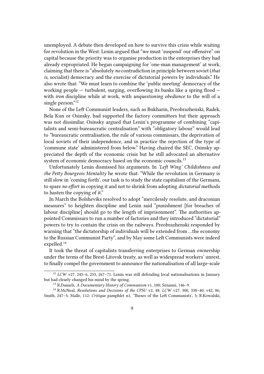unemployed. A debate then developed on how to survive this crisis while waiting for revolution in the West. Lenin argued that "we must 'suspend' our offensive" on capital because the priority was to organise production in the enterprises they had already expropriated. He began campaigning for 'one-man management' at work, claiming that there is "absolutely *no* contradiction in principle between soviet (*that is*, socialist) democracy and the exercise of dictatorial powers by individuals." He also wrote that: "We must learn to combine the 'public meeting' democracy of the working people  $-$  turbulent, surging, overflowing its banks like a spring flood  $$ with *iron* discipline while at work, with *unquestioning obedience* to the will of a single person."<sup>12</sup>

None of the Left Communist leaders, such as Bukharin, Preobrazhenski, Radek, Bela Kun or Osinsky, had supported the factory committees but their approach was not dissimilar. Osinsky argued that Lenin's programme of combining "capitalists and semi-bureaucratic centralisation" with "obligatory labour" would lead to "bureaucratic centralisation, the rule of various commissars, the deprivation of local soviets of their independence, and in practice the rejection of the type of 'commune state' administered from below." Having chaired the SEC, Osinsky appreciated the depth of the economic crisis but he still advocated an alternative system of economic democracy based on the economic councils.<sup>13</sup>

Unfortunately Lenin dismissed his arguments. In *'Left Wing' Childishness and the Petty Bourgeois Mentality* he wrote that: "While the revolution in Germany is still slow in 'coming forth', our task is to study the state capitalism of the Germans, to spare *no effort* in copying it and not to shrink from adopting *dictatorial* methods to hasten the copying of it."

In March the Bolsheviks resolved to adopt "mercilessly resolute, and draconian measures" to heighten discipline and Lenin said "punishment [for breaches of labour discipline] should go to the length of imprisonment". The authorities appointed Commissars to run a number of factories and they introduced "dictatorial" powers to try to contain the crisis on the railways. Preobrazhenski responded by warning that "the dictatorship of individuals will be extended from …the economy to the Russian Communist Party", and by May some Left Communists were indeed expelled.<sup>14</sup>

It took the threat of capitalists transferring enterprises to German ownership under the terms of the Brest-Litovsk treaty, as well as widespread workers' unrest, to finally compel the government to announce the nationalisation of all large-scale

<sup>12</sup> *LCW* v27, 245–6, 253, 267–71. Lenin was still defending local nationalisations in January but had clearly changed his mind by the spring.

<sup>13</sup> R.Daniels, *A Documentary History of Communism* v1, 100; Sirianni, 146–9.

<sup>14</sup> R.McNeal, *Resolutions and Decisions of the CPSU* v2, 48; *LCW* v27, 300, 338–40; v42, 86; Smith, 247–5; Malle, 112; *Critique* pamphlet n1, 'Theses of the Left Communists', 5; R.Kowalski,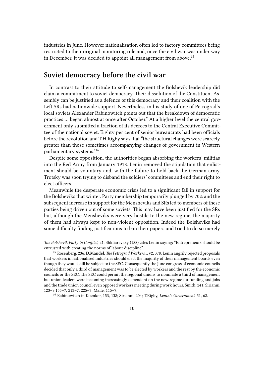industries in June. However nationalisation often led to factory committees being restricted to their original monitoring role and, once the civil war was under way in December, it was decided to appoint all management from above.<sup>15</sup>

# <span id="page-9-0"></span>**Soviet democracy before the civil war**

In contrast to their attitude to self-management the Bolshevik leadership did claim a commitment to soviet democracy. Their dissolution of the Constituent Assembly can be justified as a defence of this democracy and their coalition with the Left SRs had nationwide support. Nevertheless in his study of one of Petrograd's local soviets Alexander Rabinowitch points out that the breakdown of democratic practices … began almost at once after October." At a higher level the central government only submitted a fraction of its decrees to the Central Executive Committee of the national soviet. Eighty per cent of senior bureaucrats had been officials before the revolution and T.H.Rigby says that "the structural changes were scarcely greater than those sometimes accompanying changes of government in Western parliamentary systems."<sup>16</sup>

Despite some opposition, the authorities began absorbing the workers' militias into the Red Army from January 1918. Lenin removed the stipulation that enlistment should be voluntary and, with the failure to hold back the German army, Trotsky was soon trying to disband the soldiers' committees and end their right to elect officers.

Meanwhile the desperate economic crisis led to a significant fall in support for the Bolsheviks that winter. Party membership temporarily plunged by 70% and the subsequent increase in support for the Mensheviks and SRs led to members of these parties being driven out of some soviets. This may have been justified for the SRs but, although the Mensheviks were very hostile to the new regime, the majority of them had always kept to non-violent opposition. Indeed the Bolsheviks had some difficulty finding justifications to ban their papers and tried to do so merely

*The Bolshevik Party in Conflict,* 21. Shkliarevsky (188) cites Lenin saying: "Entrepreneurs should be entrusted with creating the norms of labour discipline".

<sup>15</sup> Rosenberg, 236; **D.Mandel**, *The Petrograd Workers…* v2*,* 378. Lenin angrily rejected proposals that workers in nationalised industries should elect the majority of their management boards even though they would still be subject to the SEC. Consequently the June congress of economic councils decided that only a third of management was to be elected by workers and the rest by the economic councils or the SEC. The SEC could permit the regional unions to nominate a third of management but union leaders were becoming increasingly dependent on the new regime for funding and jobs and the trade union council even opposed workers meeting during work hours. Smith, 241; Sirianni, 123–9,155–7, 213–7, 225–7; Malle, 115–7.

<sup>16</sup> Rabinowitch in Koenker, 153, 138; Sirianni, 204; T.Rigby, *Lenin's Government*, 51, 62.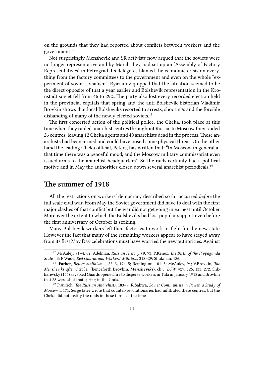on the grounds that they had reported about conflicts between workers and the government.<sup>17</sup>

Not surprisingly Menshevik and SR activists now argued that the soviets were no longer representative and by March they had set up an 'Assembly of Factory Representatives' in Petrograd. Its delegates blamed the economic crisis on everything from the factory committees to the government and even on the whole "experiment of soviet socialism". Ryazanov quipped that the situation seemed to be the direct opposite of that a year earlier and Bolshevik representation in the Kronstadt soviet fell from 46 to 29%. The party also lost every recorded election held in the provincial capitals that spring and the anti-Bolshevik historian Vladimir Brovkin shows that local Bolsheviks resorted to arrests, shootings and the forcible disbanding of many of the newly elected soviets.<sup>18</sup>

The first concerted action of the political police, the Cheka, took place at this time when they raided anarchist centres throughout Russia. In Moscow they raided 26 centres, leaving 12 Cheka agents and 40 anarchists dead in the process. These anarchists had been armed and could have posed some physical threat. On the other hand the leading Cheka official, Peters, has written that: "In Moscow in general at that time there was a peaceful mood, and the Moscow military commissariat even issued arms to the anarchist headquarters". So the raids certainly had a political motive and in May the authorities closed down several anarchist periodicals.<sup>19</sup>

#### <span id="page-10-0"></span>**The summer of 1918**

All the restrictions on workers' democracy described so far occurred *before* the full scale civil war. From May the Soviet government did have to deal with the first major clashes of that conflict but the war did not get going in earnest until October. Moreover the extent to which the Bolsheviks had lost popular support even before the first anniversary of October is striking.

Many Bolshevik workers left their factories to work or fight for the new state. However the fact that many of the remaining workers appear to have stayed away from its first May Day celebrations must have worried the new authorities. Against

<sup>17</sup> McAuley, 91–4, 62; Adelman, *Russian History* v9, 93; P.Kenez, *The Birth of the Propaganda State*, 43; R.Wade, *Red Guards and Workers' Militia…*, 318–29; Shukman, 186.

<sup>18</sup> **Farber**, *Before Stalinism…*, 22–3, 194–5; Remington, 101–5; McAuley, 94; V.Brovkin, *The Mensheviks after October* (henceforth **Brovkin**, *Mensheviks*)*,* ch.5; *LCW* v27, 126, 133, 272. Shkliarevsky (154) says Red Guards opened fire to disperse workers in Tula in January 1918 and Brovkin that 28 were shot that spring in the Urals.

<sup>19</sup> P.Avrich, *The Russian Anarchists,* 183–9; **R.Sakwa**, *Soviet Communists in Power, a Study of Moscow…,* 171. Serge later wrote that counter-revolutionaries had infiltrated these centres, but the Cheka did not justify the raids in these terms at the time.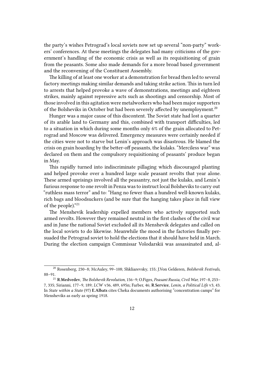the party's wishes Petrograd's local soviets now set up several "non-party" workers' conferences. At these meetings the delegates had many criticisms of the government's handling of the economic crisis as well as its requisitioning of grain from the peasants. Some also made demands for a more broad based government and the reconvening of the Constituent Assembly.

The killing of at least one worker at a demonstration for bread then led to several factory meetings making similar demands and taking strike action. This in turn led to arrests that helped provoke a wave of demonstrations, meetings and eighteen strikes, mainly against repressive acts such as shootings and censorship. Most of those involved in this agitation were metalworkers who had been major supporters of the Bolsheviks in October but had been severely affected by unemployment.<sup>20</sup>

Hunger was a major cause of this discontent. The Soviet state had lost a quarter of its arable land to Germany and this, combined with transport difficulties, led to a situation in which during some months only 6% of the grain allocated to Petrograd and Moscow was delivered. Emergency measures were certainly needed if the cities were not to starve but Lenin's approach was disastrous. He blamed the crisis on grain hoarding by the better-off peasants, the kulaks. "Merciless war" was declared on them and the compulsory requisitioning of peasants' produce began in May.

This rapidly turned into indiscriminate pillaging which discouraged planting and helped provoke over a hundred large scale peasant revolts that year alone. These armed uprisings involved all the peasantry, not just the kulaks, and Lenin's furious response to one revolt in Penza was to instruct local Bolsheviks to carry out "ruthless mass terror" and to: "Hang no fewer than a hundred well-known kulaks, rich bags and bloodsuckers (and be sure that the hanging takes place in full view of the people)."<sup>21</sup>

The Menshevik leadership expelled members who actively supported such armed revolts. However they remained neutral in the first clashes of the civil war and in June the national Soviet excluded all its Menshevik delegates and called on the local soviets to do likewise. Meanwhile the mood in the factories finally persuaded the Petrograd soviet to hold the elections that it should have held in March. During the election campaign Commissar Volodarskii was assassinated and, al-

<sup>20</sup> Rosenberg, 230–8; McAuley, 99–108; Shkliarevsky, 155; J.Von Gelderen, *Bolshevik Festivals*, 88–91.

<sup>21</sup> **R.Medvedev**, *The Bolshevik Revolution*, 156–9; O.Figes, *Peasant Russia, Civil War,* 197–8, 253– 7, 335; Sirianni, 177–9, 189; *LCW* v36, 489, 695n; Farber, 46; **R.Service**, *Lenin, a Political Life* v3, 43. In *State within a State* (97) **E.Albats** cites Cheka documents authorising "concentration camps" for Mensheviks as early as spring 1918.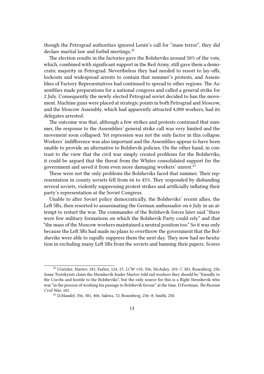though the Petrograd authorities ignored Lenin's call for "mass terror", they did declare martial law and forbid meetings.<sup>22</sup>

The election results in the factories gave the Bolsheviks around 50% of the vote, which, combined with significant support in the Red Army, still gave them a democratic majority in Petrograd. Nevertheless they had needed to resort to lay-offs, lockouts and widespread arrests to contain that summer's protests, and Assemblies of Factory Representatives had continued to spread to other regions. The Assemblies made preparations for a national congress and called a general strike for 2 July. Consequently the newly elected Petrograd soviet decided to ban the movement. Machine guns were placed at strategic points in both Petrograd and Moscow, and the Moscow Assembly, which had apparently attracted 4,000 workers, had its delegates arrested.

The outcome was that, although a few strikes and protests continued that summer, the response to the Assemblies' general strike call was very limited and the movement soon collapsed. Yet repression was not the only factor in this collapse. Workers' indifference was also important and the Assemblies appear to have been unable to provide an alternative to Bolshevik policies. On the other hand, in contrast to the view that the civil war simply created problems for the Bolsheviks, it could be argued that the threat from the Whites consolidated support for the government and saved it from even more damaging workers' unrest.<sup>23</sup>

These were not the only problems the Bolsheviks faced that summer. Their representation in county soviets fell from 66 to 45%. They responded by disbanding several soviets, violently suppressing protest strikes and artificially inflating their party's representation at the Soviet Congress.

Unable to alter Soviet policy democratically, the Bolsheviks' recent allies, the Left SRs, then resorted to assassinating the German ambassador on 6 July in an attempt to restart the war. The commander of the Bolshevik forces later said "there were few military formations on which the Bolshevik Party could rely" and that "the mass of the Moscow workers maintained a neutral position too." So it was only because the Left SRs had made no plans to overthrow the government that the Bolsheviks were able to rapidly suppress them the next day. They now had no hesitation in excluding many Left SRs from the soviets and banning their papers. Scores

<sup>22</sup> I.Getzler, *Martov*, 181; Farber, 124, 27; *LCW* v35, 336; McAuley, 103–7, 381; Rosenberg, 236. Some Trotskyists claim the Menshevik leader Martov told rail workers they should be "friendly to the Czechs and hostile to the Bolsheviks", but the only source for this is a Right Menshevik who was "in the process of working his passage to Bolshevik favour" at the time. D.Footman, *The Russian Civil War*, 101.

<sup>23</sup> D.Mandel, 356, 381, 406; Sakwa, 72; Rosenberg, 236–8; Smith, 250.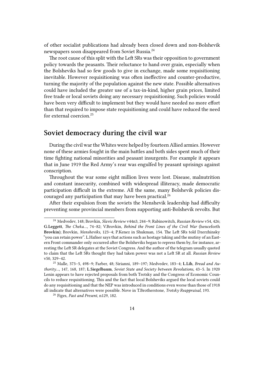of other socialist publications had already been closed down and non-Bolshevik newspapers soon disappeared from Soviet Russia.<sup>24</sup>

The root cause of this split with the Left SRs was their opposition to government policy towards the peasants. Their reluctance to hand over grain, especially when the Bolsheviks had so few goods to give in exchange, made some requisitioning inevitable. However requisitioning was often ineffective and counter-productive, turning the majority of the population against the new state. Possible alternatives could have included the greater use of a tax-in-kind, higher grain prices, limited free trade or local soviets doing any necessary requisitioning. Such policies would have been very difficult to implement but they would have needed no more effort than that required to impose state requisitioning and could have reduced the need for external coercion.<sup>25</sup>

# <span id="page-13-0"></span>**Soviet democracy during the civil war**

During the civil war the Whites were helped by fourteen Allied armies. However none of these armies fought in the main battles and both sides spent much of their time fighting national minorities and peasant insurgents. For example it appears that in June 1919 the Red Army's rear was engulfed by peasant uprisings against conscription.

Throughout the war some eight million lives were lost. Disease, malnutrition and constant insecurity, combined with widespread illiteracy, made democratic participation difficult in the extreme. All the same, many Bolshevik policies discouraged any participation that may have been practical.<sup>26</sup>

After their expulsion from the soviets the Menshevik leadership had difficulty preventing some provincial members from supporting anti-Bolshevik revolts. But

<sup>24</sup> Medvedev, 148; Brovkin, *Slavic Review* v44n3, 244–9; Rabinowitch, *Russian Review* v54, 426; **G.Leggett**, *The Cheka…*, 74–82; V.Brovkin, *Behind the Front Lines of the Civil War* (henceforth **Brovkin**); Brovkin, *Mensheviks*, 123–4; P.Kenez in Shukman, 154. The Left SRs told Dzerzhinsky "you can retain power". L.Hafner says that actions such as hostage taking and the mutiny of an Eastern Front commander only occurred after the Bolsheviks began to repress them by, for instance, arresting the Left SR delegates at the Soviet Congress. And the author of the telegram usually quoted to claim that the Left SRs thought they had taken power was not a Left SR at all. *Russian Review* v50, 329–42.

<sup>25</sup> Malle, 373–5, 498–9; Farber, 48; Sirianni, 189–197; Medvedev, 183–4; **L.Lih**, *Bread and Authority…*, 147, 168, 187; **L.Siegelbaum**, *Soviet State and Society between Revolutions*, 43–5. In 1920 Lenin appears to have rejected proposals from both Trotsky and the Congress of Economic Councils to reduce requisitioning. This and the fact that local Bolsheviks argued the local soviets could do any requisitioning and that the NEP was introduced in conditions even worse than those of 1918 all indicate that alternatives were possible. Nove in T.Brotherstone, *Trotsky Reappraisal*, 193.

<sup>26</sup> Figes, *Past and Present*, n129, 182.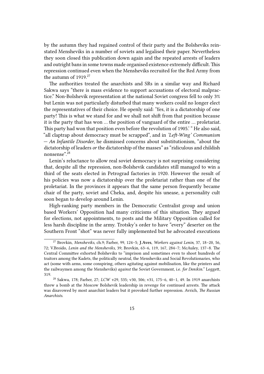by the autumn they had regained control of their party and the Bolsheviks reinstated Mensheviks in a number of soviets and legalised their paper. Nevertheless they soon closed this publication down again and the repeated arrests of leaders and outright bans in some towns made organised existence extremely difficult.This repression continued even when the Mensheviks recruited for the Red Army from the autumn of 1919.<sup>27</sup>

The authorities treated the anarchists and SRs in a similar way and Richard Sakwa says "there is mass evidence to support accusations of electoral malpractice." Non-Bolshevik representation at the national Soviet congress fell to only 3% but Lenin was not particularly disturbed that many workers could no longer elect the representatives of their choice. He openly said: 'Yes, it is a dictatorship of one party! This is what we stand for and we shall not shift from that position because it is the party that has won … the position of vanguard of the entire … proletariat. This party had won that position even before the revolution of 1905.' " He also said, "all claptrap about democracy must be scrapped", and in *'Left-Wing' Communism — An Infantile Disorder*, he dismissed concerns about substitutionism, "about the dictatorship of leaders *or* the dictatorship of the masses" as "ridiculous and childish nonsense".<sup>28</sup>

Lenin's reluctance to allow real soviet democracy is not surprising considering that, despite all the repression, non-Bolshevik candidates still managed to win a third of the seats elected in Petrograd factories in 1920. However the result of his policies was now a dictatorship over the proletariat rather than one of the proletariat. In the provinces it appears that the same person frequently became chair of the party, soviet and Cheka, and, despite his unease, a personality cult soon began to develop around Lenin.

High-ranking party members in the Democratic Centralist group and union based Workers' Opposition had many criticisms of this situation. They argued for elections, not appointments, to posts and the Military Opposition called for less harsh discipline in the army. Trotsky's order to have "every" deserter on the Southern Front "shot" was never fully implemented but he advocated executions

<sup>27</sup> Brovkin, *Mensheviks*, ch.9; Farber, 99, 124–5; **J.Aves**, *Workers against Lenin*, 37, 18–20, 56, 72; V.Broido, *Lenin and the Mensheviks*, 39; Brovkin, 63–6, 119, 167, 284–7; McAuley, 137–8. The Central Committee exhorted Bolsheviks to "imprison and sometimes even to shoot hundreds of traitors among the Kadets, the politically neutral, the Mensheviks and Social Revolutionaries, who act (some with arms, some conspiring, others agitating against mobilisation, like the printers and the railwaymen among the Mensheviks) *against* the Soviet Government, i.e. *for Denikin.*" Leggett, 319.

<sup>28</sup> Sakwa, 178; Farber, 27; *LCW* v29, 535; v30, 506; v31, 175–6, 40–1, 49. In 1919 anarchists threw a bomb at the Moscow Bolshevik leadership in revenge for continued arrests. The attack was disavowed by most anarchist leaders but it provoked further repression. Avrich, *The Russian Anarchists*.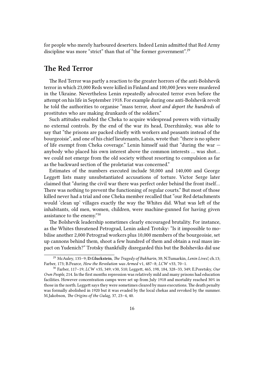for people who merely harboured deserters. Indeed Lenin admitted that Red Army discipline was more "strict" than that of "the former government".<sup>29</sup>

# <span id="page-15-0"></span>**The Red Terror**

The Red Terror was partly a reaction to the greater horrors of the anti-Bolshevik terror in which 23,000 Reds were killed in Finland and 100,000 Jews were murdered in the Ukraine. Nevertheless Lenin repeatedly advocated terror even before the attempt on his life in September 1918. For example during one anti-Bolshevik revolt he told the authorities to organise "mass terror, *shoot and deport the hundreds* of prostitutes who are making drunkards of the soldiers."

Such attitudes enabled the Cheka to acquire widespread powers with virtually no external controls. By the end of the war its head, Dzerzhinsky, was able to say that "the prisons are packed chiefly with workers and peasants instead of the bourgeoisie", and one of his chief lieutenants, Latsis, wrote that: "there is no sphere of life exempt from Cheka coverage." Lenin himself said that "during the war anybody who placed his own interest above the common interests … was shot… we could not emerge from the old society without resorting to compulsion as far as the backward section of the proletariat was concerned."

Estimates of the numbers executed include 50,000 and 140,000 and George Leggett lists many unsubstantiated accusations of torture. Victor Serge later claimed that "during the civil war there was perfect order behind the front itself… There was nothing to prevent the functioning of regular courts." But most of those killed never had a trial and one Cheka member recalled that "our Red detachments would 'clean up' villages exactly the way the Whites did. What was left of the inhabitants, old men, women, children, were machine-gunned for having given assistance to the enemy."<sup>30</sup>

The Bolshevik leadership sometimes clearly encouraged brutality. For instance, as the Whites threatened Petrograd, Lenin asked Trotsky: "Is it impossible to mobilise another 2,000 Petrograd workers plus 10,000 members of the bourgeoisie, set up cannons behind them, shoot a few hundred of them and obtain a real mass impact on Yudenich?" Trotsky thankfully disregarded this but the Bolsheviks did use

<sup>29</sup> McAuley, 135–9; **D.Gluckstein**, *The Tragedy of Bukharin*, 38; N.Tumarkin, *Lenin Lives!*, ch.13; Farber, 173; B.Pearce, *How the Revolution was Armed* v1, 487–8; *LCW* v33, 70–1.

<sup>30</sup> Farber, 117–19; *LCW* v35, 349; v30, 510; Leggett, 465, 198, 184, 328–33, 349; E.Poretsky, *Our Own People,* 214. In the first months repression was relatively mild and many prisons had education facilities. However concentration camps were set up from July 1918 and mortality reached 30% in those in the north. Leggett says they were sometimes cleared by mass executions. The death penalty was formally abolished in 1920 but it was evaded by the local chekas and revoked by the summer. M.Jakobson, *The Origins of the Gulag,* 37, 23–4, 40.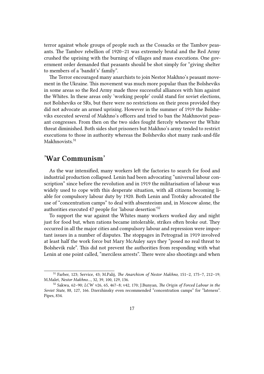terror against whole groups of people such as the Cossacks or the Tambov peasants. The Tambov rebellion of 1920–21 was extremely brutal and the Red Army crushed the uprising with the burning of villages and mass executions. One government order demanded that peasants should be shot simply for "giving shelter to members of a 'bandit's' family".

The Terror encouraged many anarchists to join Nestor Makhno's peasant movement in the Ukraine. This movement was much more popular than the Bolsheviks in some areas so the Red Army made three successful alliances with him against the Whites. In these areas only 'working people' could stand for soviet elections, not Bolsheviks or SRs, but there were no restrictions on their press provided they did not advocate an armed uprising. However in the summer of 1919 the Bolsheviks executed several of Makhno's officers and tried to ban the Makhnovist peasant congresses. From then on the two sides fought fiercely whenever the White threat diminished. Both sides shot prisoners but Makhno's army tended to restrict executions to those in authority whereas the Bolsheviks shot many rank-and-file Makhnovists<sup>31</sup>

# <span id="page-16-0"></span>**'War Communism'**

As the war intensified, many workers left the factories to search for food and industrial production collapsed. Lenin had been advocating "universal labour conscription" since before the revolution and in 1919 the militarisation of labour was widely used to cope with this desperate situation, with all citizens becoming liable for compulsory labour duty by 1920. Both Lenin and Trotsky advocated the use of "concentration camps" to deal with absenteeism and, in Moscow alone, the authorities executed 47 people for 'labour desertion'<sup>32</sup>

To support the war against the Whites many workers worked day and night just for food but, when rations became intolerable, strikes often broke out. They occurred in all the major cities and compulsory labour and repression were important issues in a number of disputes. The stoppages in Petrograd in 1919 involved at least half the work force but Mary McAuley says they "posed no real threat to Bolshevik rule". This did not prevent the authorities from responding with what Lenin at one point called, "merciless arrests". There were also shootings and when

<sup>31</sup> Farber, 123; Service, 43; M.Palij, *The Anarchism of Nestor Makhno,* 151–2, 175–7, 212–19; M.Malet, *Nestor Makhno…*, 32, 39, 100, 129, 136.

<sup>32</sup> Sakwa, 62–90; *LCW* v26, 65, 467–8; v42, 170; J.Bunyan, *The Origin of Forced Labour in the Soviet State*, 88, 127, 166. Dzerzhinsky even recommended "concentration camps" for "lateness". Pipes, 834.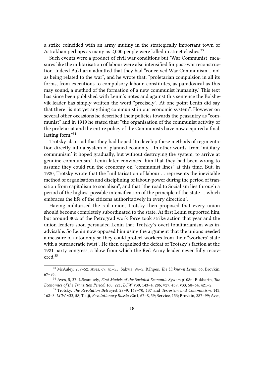a strike coincided with an army mutiny in the strategically important town of Astrakhan perhaps as many as 2,000 people were killed in street clashes.<sup>33</sup>

Such events were a product of civil war conditions but 'War Communist' measures like the militarisation of labour were also intensified for post-war reconstruction. Indeed Bukharin admitted that they had "conceived War Communism …not as being related to the war", and he wrote that: "proletarian compulsion in all its forms, from executions to compulsory labour, constitutes, as paradoxical as this may sound, a method of the formation of a new communist humanity." This text has since been published with Lenin's notes and against this sentence the Bolshevik leader has simply written the word "precisely". At one point Lenin did say that there "is not yet anything communist in our economic system". However on several other occasions he described their policies towards the peasantry as "communist" and in 1919 he stated that: "the organisation of the communist activity of the proletariat and the entire policy of the Communists have now acquired a final, lasting form."<sup>34</sup>

Trotsky also said that they had hoped "to develop these methods of regimentation directly into a system of planned economy… In other words, from 'military communism' it hoped gradually, but without destroying the system, to arrive at genuine communism." Lenin later convinced him that they had been wrong to assume they could run the economy on "communist lines" at this time. But, in 1920, Trotsky wrote that the "militarisation of labour … represents the inevitable method of organisation and disciplining of labour-power during the period of transition from capitalism to socialism", and that "the road to Socialism lies through a period of the highest possible intensification of the principle of the state … which embraces the life of the citizens authoritatively in every direction".

Having militarised the rail union, Trotsky then proposed that every union should become completely subordinated to the state. At first Lenin supported him, but around 80% of the Petrograd work force took strike action that year and the union leaders soon persuaded Lenin that Trotsky's overt totalitarianism was inadvisable. So Lenin now opposed him using the argument that the unions needed a measure of autonomy so they could protect workers from their "workers' state with a bureaucratic twist". He then organised the defeat of Trotsky's faction at the 1921 party congress, a blow from which the Red Army leader never fully recovered.<sup>35</sup>

<sup>33</sup> McAuley, 239–52; Aves, 69, 41–55; Sakwa, 94–5; R.Pipes, *The Unknown Lenin*, 66; Brovkin, 67–95.

<sup>34</sup> Aves, 5, 37; L.Szamuely, *First Models of the Socialist Economic System* p108n; Bukharin, *The Economics of the Transition Period*, 160, 221; *LCW* v30, 143–4, 286; v27, 439; v33, 58–64, 421–2.

<sup>35</sup> Trotsky, *The Revolution Betrayed*, 28–9, 169–70, 137 and *Terrorism and Communism,* 143, 162–3; *LCW* v33, 58; Tsuji, *Revolutionary Russia* v2n1, 67–8, 59; Service, 153; Brovkin, 287–99; Aves,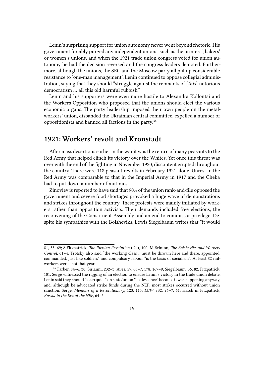Lenin's surprising support for union autonomy never went beyond rhetoric. His government forcibly purged any independent unions, such as the printers', bakers' or women's unions, and when the 1921 trade union congress voted for union autonomy he had the decision reversed and the congress leaders demoted. Furthermore, although the unions, the SEC and the Moscow party all put up considerable resistance to 'one-man management', Lenin continued to oppose collegial administration, saying that they should "struggle against the remnants of [*this*] notorious democratism … all this old harmful rubbish."

Lenin and his supporters were even more hostile to Alexandra Kollontai and the Workers Opposition who proposed that the unions should elect the various economic organs. The party leadership imposed their own people on the metalworkers' union, disbanded the Ukrainian central committee, expelled a number of oppositionists and banned all factions in the party.<sup>36</sup>

# **1921: Workers' revolt and Kronstadt**

After mass desertions earlier in the war it was the return of many peasants to the Red Army that helped clinch its victory over the Whites. Yet once this threat was over with the end of the fighting in November 1920, discontent erupted throughout the country. There were 118 peasant revolts in February 1921 alone. Unrest in the Red Army was comparable to that in the Imperial Army in 1917 and the Cheka had to put down a number of mutinies.

Zinoviev is reported to have said that 90% of the union rank-and-file opposed the government and severe food shortages provoked a huge wave of demonstrations and strikes throughout the country. These protests were mainly initiated by workers rather than opposition activists. Their demands included free elections, the reconvening of the Constituent Assembly and an end to commissar privilege. Despite his sympathies with the Bolsheviks, Lewis Siegelbaum writes that "it would

<sup>81, 33, 69;</sup> **S.Fitzpatrick**, *The Russian Revolution* ('94), 100; M.Brinton, *The Bolsheviks and Workers Control*, 61–4. Trotsky also said "the working class …must be thrown here and there, appointed, commanded, just like soldiers" and compulsory labour "is the basis of socialism". At least 82 railworkers were shot that year.

<sup>36</sup> Farber, 84–6, 30; Sirianni, 232–3; Aves, 57, 66–7, 178, 167–9; Siegelbaum, 36, 82; Fitzpatrick, 101. Serge witnessed the rigging of an election to ensure Lenin's victory in the trade union debate. Lenin said they should "keep quiet" on state/union "coalescence" because it was happening anyway, and, although he advocated strike funds during the NEP, most strikes occurred without union sanction. Serge, *Memoirs of a Revolutionary*, 123, 115; *LCW* v32, 26–7, 61; Hatch in Fitzpatrick, *Russia in the Era of the NEP,* 64–5.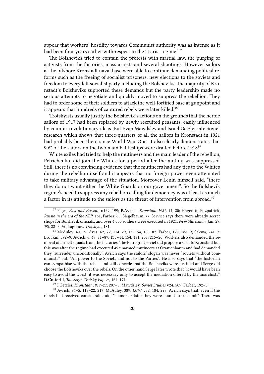appear that workers' hostility towards Communist authority was as intense as it had been four years earlier with respect to the Tsarist regime."<sup>37</sup>

The Bolsheviks tried to contain the protests with martial law, the purging of activists from the factories, mass arrests and several shootings. However sailors at the offshore Kronstadt naval base were able to continue demanding political reforms such as the freeing of socialist prisoners, new elections to the soviets and freedom to every left socialist party including the Bolsheviks. The majority of Kronstadt's Bolsheviks supported these demands but the party leadership made no serious attempts to negotiate and quickly moved to suppress the rebellion. They had to order some of their soldiers to attack the well-fortified base at gunpoint and it appears that hundreds of captured rebels were later killed.<sup>38</sup>

Trotskyists usually justify the Bolshevik's actions on the grounds that the heroic sailors of 1917 had been replaced by newly recruited peasants, easily influenced by counter-revolutionary ideas. But Evan Mawdsley and Israel Getzler cite Soviet research which shows that three-quarters of all the sailors in Kronstadt in 1921 had probably been there since World War One. It also clearly demonstrates that 90% of the sailors on the two main battleships were drafted before 1918<sup>39</sup>

White exiles had tried to help the mutineers and the main leader of the rebellion, Petrichenko, did join the Whites for a period after the mutiny was suppressed. Still, there is no convincing evidence that the mutineers had any ties to the Whites during the rebellion itself and it appears that no foreign power even attempted to take military advantage of the situation. Moreover Lenin himself said, "there they do not want either the White Guards or our government". So the Bolshevik regime's need to suppress any rebellion calling for democracy was at least as much a factor in its attitude to the sailors as the threat of intervention from abroad.<sup>40</sup>

<sup>39</sup> I.Getzler, *Kronstadt 1917–21*, 207–8; Mawdsley, *Soviet Studies* v24, 509; Farber, 192–3.

<sup>40</sup> Avrich, 94–5, 118–22, 217; McAuley, 389; *LCW* v32, 184, 228. Avrich says that, even if the rebels had received considerable aid, "sooner or later they were bound to succumb". There was

<sup>37</sup> Figes, *Past and Present*, n129, 199; **P.Avrich**, *Kronstadt 1921,* 14, 20; Hagen in Fitzpatrick, *Russia in the era of the NEP*, 161; Farber, 88; Siegelbaum, 77. Service says there were already secret shops for Bolshevik officials, and over 4,000 soldiers were executed in 1921. *New Statesman*, Jan. 27, '95, 22–3; Volkogonov, *Trotsky…,* 181.

<sup>38</sup> McAuley, 407–9; Aves, 62, 72, 114–29, 139–54, 165–82; Farber, 125, 188–9; Sakwa, 241–7; Brovkin, 392–9; Avrich, 6, 47, 71–87, 135–44, 154, 181, 207, 215–20. Workers also demanded the removal of armed squads from the factories. The Petrograd soviet did propose a visit to Kronstadt but this was after the regime had executed 45 unarmed mutineers at Oranienbaum and had demanded they 'surrender unconditionally'. Avrich says the sailors' slogan was never "soviets without communists" but: "All power to the Soviets and not to the Parties". He also says that "the historian can sympathise with the rebels and still concede that the Bolsheviks were justified and Serge did choose the Bolsheviks over the rebels. On the other hand Serge later wrote that "it would have been easy to avoid the worst: it was necessary only to accept the mediation offered by the anarchists". **D.Cotterill**, *The Serge-Trotsky Papers*, 164, 171.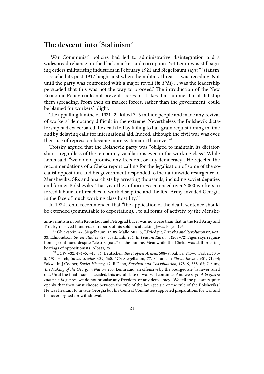#### **The descent into 'Stalinism'**

'War Communist' policies had led to administrative disintegration and a widespread reliance on the black market and corruption. Yet Lenin was still signing orders militarising industries in February 1921 and Siegelbaum says: " 'statism' … reached its post-1917 height just when the military threat … was receding. Not until the party was confronted with a major revolt (*in 1921*) … was the leadership persuaded that this was not the way to proceed." The introduction of the New Economic Policy could not prevent scores of strikes that summer but it did stop them spreading. From then on market forces, rather than the government, could be blamed for workers' plight.

The appalling famine of 1921–22 killed 3–6 million people and made any revival of workers' democracy difficult in the extreme. Nevertheless the Bolshevik dictatorship had exacerbated the death toll by failing to halt grain requisitioning in time and by delaying calls for international aid. Indeed, although the civil war was over, their use of repression became more systematic than ever. $41$ 

Trotsky argued that the Bolshevik party was "obliged to maintain its dictatorship … regardless of the temporary vacillations even in the working class." While Lenin said: "we do not promise any freedom, or any democracy". He rejected the recommendations of a Cheka report calling for the legalisation of some of the socialist opposition, and his government responded to the nationwide resurgence of Mensheviks, SRs and anarchists by arresting thousands, including soviet deputies and former Bolsheviks. That year the authorities sentenced over 3,000 workers to forced labour for breaches of work discipline and the Red Army invaded Georgia in the face of much working class hostility.<sup>42</sup>

In 1922 Lenin recommended that "the application of the death sentence should be extended (commutable to deportation)… to all forms of activity by the Menshe-

anti-Semitism in both Kronstadt and Petrograd but it was no worse than that in the Red Army and Trotsky received hundreds of reports of his soldiers attacking Jews. Figes, 196.

<sup>41</sup> Gluckstein, 47; Siegelbaum, 37, 89; Malle, 501–6; T.Friedgut, *Iuzovka and Revolution* v2, 429– 33; Edmondson, *Soviet Studies* v29, 507ff.; Lih, 254. In *Peasant Russia…* (268–72) Figes says requisitioning continued despite "clear signals" of the famine. Meanwhile the Cheka was still ordering beatings of oppositionists. Albats, 98.

<sup>42</sup> *LCW* v32, 494–5; v45, 84; Deutscher, *The Prophet Armed*, 508–9; Sakwa, 245–6; Farber, 134– 5, 197; Hatch, *Soviet Studies* v39, 560, 570; Siegelbaum, 77, 84, and in *Slavic Review* v51, 712–4; Sakwa in J.Cooper, *Soviet History*, 47; R.Debo, *Survival and Consolidation*, 178–9, 358–63; G.Suny, *The Making of the Georgian Nation,* 205. Lenin said, an offensive by the bourgeoisie "is never ruled out. Until the final issue is decided, this awful state of war will continue. And we say: '*A la guerre comme a la guerre*; we do not promise any freedom, or any democracy'. We tell the peasants quite openly that they must choose between the rule of the bourgeoisie or the rule of the Bolsheviks." He was hesitant to invade Georgia but his Central Committee supported preparations for war and he never argued for withdrawal.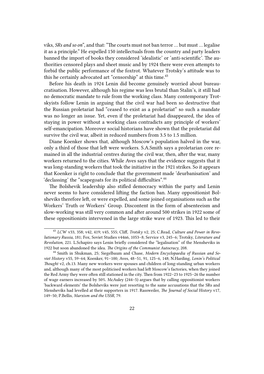viks, *SRs and so on*", and that: "The courts must not ban terror … but must … legalise it as a principle." He expelled 150 intellectuals from the country and party leaders banned the import of books they considered 'idealistic' or 'anti-scientific'. The authorities censored plays and sheet music and by 1924 there were even attempts to forbid the public performance of the foxtrot. Whatever Trotsky's attitude was to this he certainly advocated art "censorship" at this time.<sup>43</sup>

Before his death in 1924 Lenin did become genuinely worried about bureaucratisation. However, although his regime was less brutal than Stalin's, it still had no democratic mandate to rule from the working class. Many contemporary Trotskyists follow Lenin in arguing that the civil war had been so destructive that the Russian proletariat had "ceased to exist as a proletariat" so such a mandate was no longer an issue. Yet, even if the proletariat had disappeared, the idea of staying in power without a working class contradicts any principle of workers' self-emancipation. Moreover social historians have shown that the proletariat did survive the civil war, albeit in reduced numbers from 3.5 to 1.5 million.

Diane Koenker shows that, although Moscow's population halved in the war, only a third of those that left were workers. S.A.Smith says a proletarian core remained in all the industrial centres during the civil war, then, after the war, many workers returned to the cities. While Aves says that the evidence suggests that it was long-standing workers that took the initiative in the 1921 strikes. So it appears that Koenker is right to conclude that the government made 'deurbanisation' and 'declassing' the "scapegoats for its political difficulties".<sup>44</sup>

The Bolshevik leadership also stifled democracy within the party and Lenin never seems to have considered lifting the faction ban. Many oppositionist Bolsheviks therefore left, or were expelled, and some joined organisations such as the Workers' Truth or Workers' Group. Discontent in the form of absenteeism and slow-working was still very common and after around 500 strikes in 1922 some of these oppositionists intervened in the large strike wave of 1923. This led to their

<sup>43</sup> *LCW* v33, 358; v42, 419; v45, 555; Cliff, *Trotsky* v2, 25; C.Read, *Culture and Power in Revolutionary Russia*, 181; Fox, Soviet Studies v44n6, 1053–8; Service v3, 245–6; Trotsky, *Literature and Revolution*, 221. L.Schapiro says Lenin briefly considered the "legalisation" of the Mensheviks in 1922 but soon abandoned the idea. *The Origins of the Communist Autocracy*, 208.

<sup>44</sup> Smith in Shukman, 25; Siegelbaum and Chase, *Modern Encyclopaedia of Russian and Soviet History* v55, 59–64; Koenker, 91–100; Aves, 48–51, 91, 125–6, 148; N.Harding, *Lenin's Political Thought* v2, ch.13. Many new workers were spouses and children of long-standing urban workers and, although many of the most politicised workers had left Moscow's factories, when they joined the Red Army they were often still stationed in the city. Then from 1922–23 to 1925–26 the number of wage earners increased by 50%. McAuley (244–5) argues that by calling oppositionist workers 'backward elements' the Bolsheviks were just resorting to the same accusations that the SRs and Mensheviks had levelled at their supporters in 1917. Rassweiler, *The Journal of Social History* v17, 149–50; P.Bellis, *Marxism and the USSR*, 79.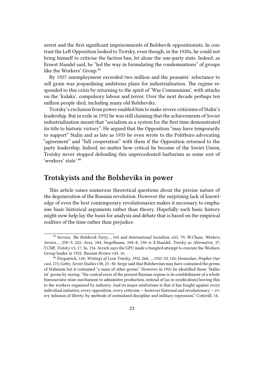arrest and the first significant imprisonments of Bolshevik oppositionists. In contrast the Left Opposition looked to Trotsky, even though, in the 1920s, he could not bring himself to criticise the faction ban, let alone the one-party state. Indeed, as Ernest Mandel said, he "led the way in formulating the condemnations" of groups like the Workers' Group.<sup>45</sup>

By 1927 unemployment exceeded two million and the peasants' reluctance to sell grain was jeopardising ambitious plans for industrialisation. The regime responded to this crisis by returning to the spirit of 'War Communism', with attacks on the 'kulaks', compulsory labour and terror. Over the next decade perhaps ten million people died, including many old Bolsheviks.

Trotsky's exclusion from power enabled him to make severe criticisms of Stalin's leadership. But in exile in 1932 he was still claiming that the achievements of Soviet industrialisation meant that "socialism as a system for the first time demonstrated its title to historic victory". He argued that the Opposition "may have temporarily to support" Stalin and as late as 1933 he even wrote to the Politburo advocating "agreement" and "full cooperation" with them if the Opposition returned to the party leadership. Indeed, no matter how critical he became of the Soviet Union, Trotsky never stopped defending this unprecedented barbarism as some sort of 'workers' state'.46

## **Trotskyists and the Bolsheviks in power**

This article raises numerous theoretical questions about the precise nature of the degeneration of the Russian revolution. However the surprising lack of knowledge of even the best contemporary revolutionaries makes it necessary to emphasise basic historical arguments rather than theory. Hopefully such basic history might now help lay the basis for analysis and debate that is based on the empirical realities of the time rather than prejudice.

<sup>45</sup> Service, *The Bolshevik Party…,* 165 and *International Socialism*, n55, 79; W.Chase, *Workers, Soviets…,* 258–9, 222; Aves, 184; Siegelbaum, 104–8, 130–6; E.Mandel, *Trotsky as Alternative,* 37; T.Cliff, *Trotsky* v3, 17, 56, 154. Avrich says the GPU made a bungled attempt to execute the Workers Group leader in 1922. *Russian Review* v43, 16.

<sup>46</sup> Fitzpatrick, 120; *Writings of Leon Trotsky, 1932*, 260; *…1932–33*, 142; Deutscher, *Prophet Outcast*, 175; Getty, *Soviet Studies* v38, 25–30. Serge said that Bolshevism may have contained the germs of Stalinism but it contained "a mass of other germs". However in 1921 he identified those 'Stalinist' germs by saying: "the central error of the present Russian regime is its establishment of a whole bureaucratic-state mechanism to administer production, instead of (as in syndicalism) leaving this to the workers organised by industry. And its major misfortune is that it has fought against every individual initiative, every opposition, every criticism  $-$  however fraternal and revolutionary  $-$  every infusion of liberty, by methods of centralised discipline and military repression." Cotterill, 14.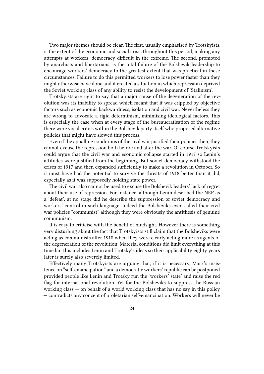Two major themes should be clear. The first, usually emphasised by Trotskyists, is the extent of the economic and social crisis throughout this period, making any attempts at workers' democracy difficult in the extreme. The second, promoted by anarchists and libertarians, is the total failure of the Bolshevik leadership to encourage workers' democracy to the greatest extent that was practical in these circumstances. Failure to do this permitted workers to lose power faster than they might otherwise have done and it created a situation in which repression deprived the Soviet working class of any ability to resist the development of 'Stalinism'.

Trotskyists are right to say that a major cause of the degeneration of the revolution was its inability to spread which meant that it was crippled by objective factors such as economic backwardness, isolation and civil war. Nevertheless they are wrong to advocate a rigid determinism, minimising ideological factors. This is especially the case when at every stage of the bureaucratisation of the regime there were vocal critics within the Bolshevik party itself who proposed alternative policies that might have slowed this process.

Even if the appalling conditions of the civil war justified their policies then, they cannot excuse the repression both before and after the war. Of course Trotskyists could argue that the civil war and economic collapse started in 1917 so Lenin's attitudes were justified from the beginning. But soviet democracy withstood the crises of 1917 and then expanded sufficiently to make a revolution in October. So it must have had the potential to survive the threats of 1918 better than it did, especially as it was supposedly holding state power.

The civil war also cannot be used to excuse the Bolshevik leaders' lack of regret about their use of repression. For instance, although Lenin described the NEP as a 'defeat', at no stage did he describe the suppression of soviet democracy and workers' control in such language. Indeed the Bolsheviks even called their civil war policies "communist" although they were obviously the antithesis of genuine communism.

It is easy to criticise with the benefit of hindsight. However there is something very disturbing about the fact that Trotskyists still claim that the Bolsheviks were acting as communists after 1918 when they were clearly acting more as agents of the degeneration of the revolution. Material conditions did limit everything at this time but this includes Lenin and Trotsky's ideas so their applicability eighty years later is surely also severely limited.

Effectively many Trotskyists are arguing that, if it is necessary, Marx's insistence on "self-emancipation" and a democratic workers' republic can be postponed provided people like Lenin and Trotsky run the 'workers' state' and raise the red flag for international revolution. Yet for the Bolsheviks to suppress the Russian working class — on behalf of a world working class that has no say in this policy — contradicts any concept of proletarian self-emancipation. Workers will never be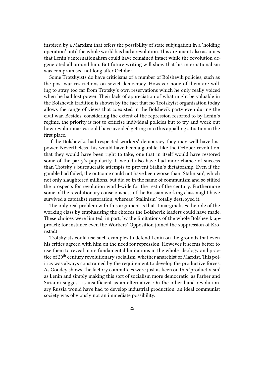inspired by a Marxism that offers the possibility of state subjugation in a 'holding operation' until the whole world has had a revolution. This argument also assumes that Lenin's internationalism could have remained intact while the revolution degenerated all around him. But future writing will show that his internationalism was compromised not long after October.

Some Trotskyists do have criticisms of a number of Bolshevik policies, such as the post-war restrictions on soviet democracy. However none of them are willing to stray too far from Trotsky's own reservations which he only really voiced when he had lost power. Their lack of appreciation of what might be valuable in the Bolshevik tradition is shown by the fact that no Trotskyist organisation today allows the range of views that coexisted in the Bolshevik party even during the civil war. Besides, considering the extent of the repression resorted to by Lenin's regime, the priority is not to criticise individual policies but to try and work out how revolutionaries could have avoided getting into this appalling situation in the first place.

If the Bolsheviks had respected workers' democracy they may well have lost power. Nevertheless this would have been a gamble, like the October revolution, that they would have been right to take, one that in itself would have restored some of the party's popularity. It would also have had more chance of success than Trotsky's bureaucratic attempts to prevent Stalin's dictatorship. Even if the gamble had failed, the outcome could not have been worse than 'Stalinism', which not only slaughtered millions, but did so in the name of communism and so stifled the prospects for revolution world-wide for the rest of the century. Furthermore some of the revolutionary consciousness of the Russian working class might have survived a capitalist restoration, whereas 'Stalinism' totally destroyed it.

The only real problem with this argument is that it marginalises the role of the working class by emphasising the choices the Bolshevik leaders could have made. These choices were limited, in part, by the limitations of the whole Bolshevik approach; for instance even the Workers' Opposition joined the suppression of Kronstadt.

Trotskyists could use such examples to defend Lenin on the grounds that even his critics agreed with him on the need for repression. However it seems better to use them to reveal more fundamental limitations in the whole ideology and practice of 20<sup>th</sup> century revolutionary socialism, whether anarchist or Marxist. This politics was always constrained by the requirement to develop the productive forces. As Goodey shows, the factory committees were just as keen on this 'productivism' as Lenin and simply making this sort of socialism more democratic, as Farber and Sirianni suggest, is insufficient as an alternative. On the other hand revolutionary Russia would have had to develop industrial production, an ideal communist society was obviously not an immediate possibility.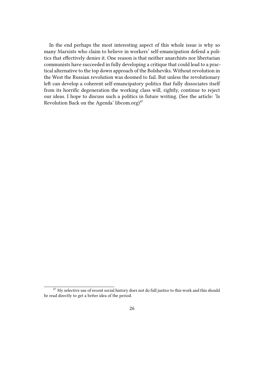In the end perhaps the most interesting aspect of this whole issue is why so many Marxists who claim to believe in workers' self-emancipation defend a politics that effectively denies it. One reason is that neither anarchists nor libertarian communists have succeeded in fully developing a critique that could lead to a practical alternative to the top down approach of the Bolsheviks. Without revolution in the West the Russian revolution was doomed to fail. But unless the revolutionary left can develop a coherent self-emancipatory politics that fully dissociates itself from its horrific degeneration the working class will, rightly, continue to reject our ideas. I hope to discuss such a politics in future writing. (See the article: 'Is Revolution Back on the Agenda' libcom.org) $47$ 

<sup>&</sup>lt;sup>47</sup> My selective use of recent social history does not do full justice to this work and this should be read directly to get a better idea of the period.